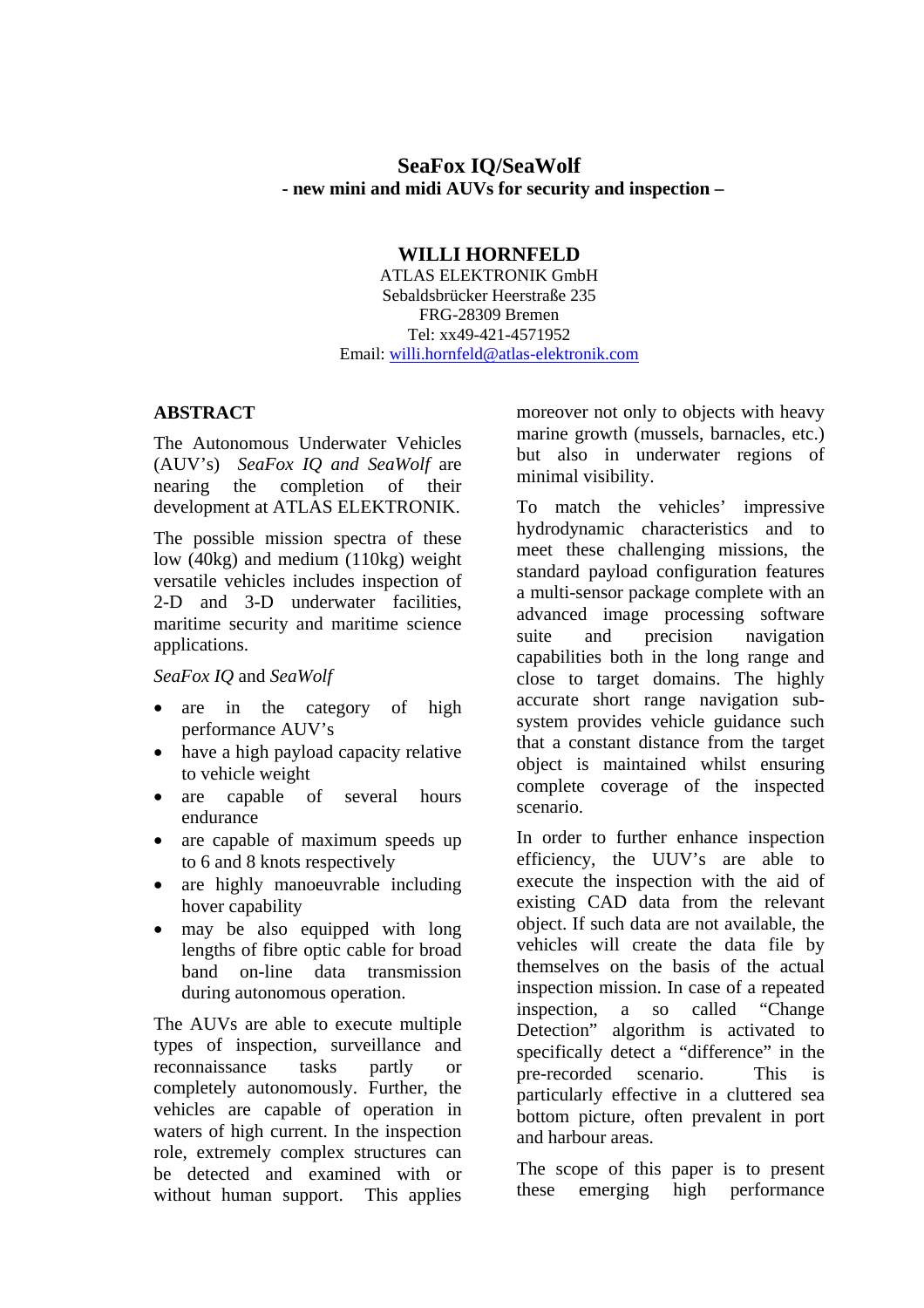# **SeaFox IQ/SeaWolf - new mini and midi AUVs for security and inspection –**

### **WILLI HORNFELD**

ATLAS ELEKTRONIK GmbH Sebaldsbrücker Heerstraße 235 FRG-28309 Bremen Tel: xx49-421-4571952 Email: [willi.hornfeld@atlas-elektronik.com](mailto:willi.hornfeld@atlas-elektronik.com)

### **ABSTRACT**

The Autonomous Underwater Vehicles (AUV's) *SeaFox IQ and SeaWolf* are nearing the completion of their development at ATLAS ELEKTRONIK.

The possible mission spectra of these low (40kg) and medium (110kg) weight versatile vehicles includes inspection of 2-D and 3-D underwater facilities, maritime security and maritime science applications.

#### *SeaFox IQ* and *SeaWolf*

- are in the category of high performance AUV's
- have a high payload capacity relative to vehicle weight
- are capable of several hours endurance
- are capable of maximum speeds up to 6 and 8 knots respectively
- are highly manoeuvrable including hover capability
- may be also equipped with long lengths of fibre optic cable for broad band on-line data transmission during autonomous operation.

The AUVs are able to execute multiple types of inspection, surveillance and reconnaissance tasks partly or completely autonomously. Further, the vehicles are capable of operation in waters of high current. In the inspection role, extremely complex structures can be detected and examined with or without human support. This applies

moreover not only to objects with heavy marine growth (mussels, barnacles, etc.) but also in underwater regions of minimal visibility.

To match the vehicles' impressive hydrodynamic characteristics and to meet these challenging missions, the standard payload configuration features a multi-sensor package complete with an advanced image processing software suite and precision navigation capabilities both in the long range and close to target domains. The highly accurate short range navigation subsystem provides vehicle guidance such that a constant distance from the target object is maintained whilst ensuring complete coverage of the inspected scenario.

In order to further enhance inspection efficiency, the UUV's are able to execute the inspection with the aid of existing CAD data from the relevant object. If such data are not available, the vehicles will create the data file by themselves on the basis of the actual inspection mission. In case of a repeated inspection, a so called "Change Detection" algorithm is activated to specifically detect a "difference" in the pre-recorded scenario. This is particularly effective in a cluttered sea bottom picture, often prevalent in port and harbour areas.

The scope of this paper is to present these emerging high performance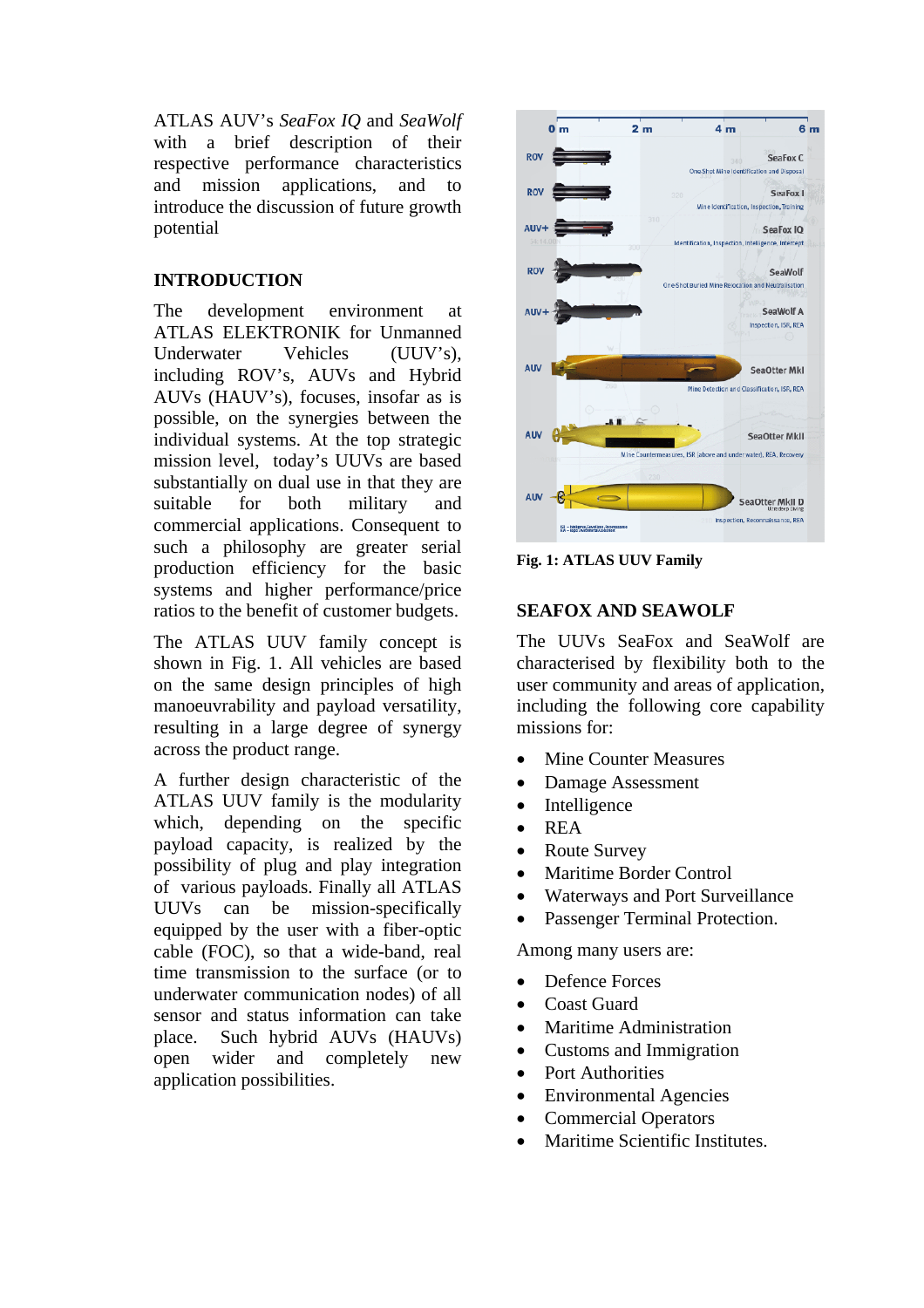ATLAS AUV's *SeaFox IQ* and *SeaWolf*  with a brief description of their respective performance characteristics and mission applications, and to introduce the discussion of future growth potential

### **INTRODUCTION**

The development environment at ATLAS ELEKTRONIK for Unmanned Underwater Vehicles (UUV's), including ROV's, AUVs and Hybrid AUVs (HAUV's), focuses, insofar as is possible, on the synergies between the individual systems. At the top strategic mission level, today's UUVs are based substantially on dual use in that they are suitable for both military and commercial applications. Consequent to such a philosophy are greater serial production efficiency for the basic systems and higher performance/price ratios to the benefit of customer budgets.

The ATLAS UUV family concept is shown in Fig. 1. All vehicles are based on the same design principles of high manoeuvrability and payload versatility, resulting in a large degree of synergy across the product range.

A further design characteristic of the ATLAS UUV family is the modularity which, depending on the specific payload capacity, is realized by the possibility of plug and play integration of various payloads. Finally all ATLAS UUVs can be mission-specifically equipped by the user with a fiber-optic cable (FOC), so that a wide-band, real time transmission to the surface (or to underwater communication nodes) of all sensor and status information can take place. Such hybrid AUVs (HAUVs) open wider and completely new application possibilities.



**Fig. 1: ATLAS UUV Family** 

# **SEAFOX AND SEAWOLF**

The UUVs SeaFox and SeaWolf are characterised by flexibility both to the user community and areas of application, including the following core capability missions for:

- Mine Counter Measures
- Damage Assessment
- Intelligence
- REA
- Route Survey
- Maritime Border Control
- Waterways and Port Surveillance
- Passenger Terminal Protection.

Among many users are:

- Defence Forces
- Coast Guard
- Maritime Administration
- Customs and Immigration
- Port Authorities
- Environmental Agencies
- Commercial Operators
- Maritime Scientific Institutes.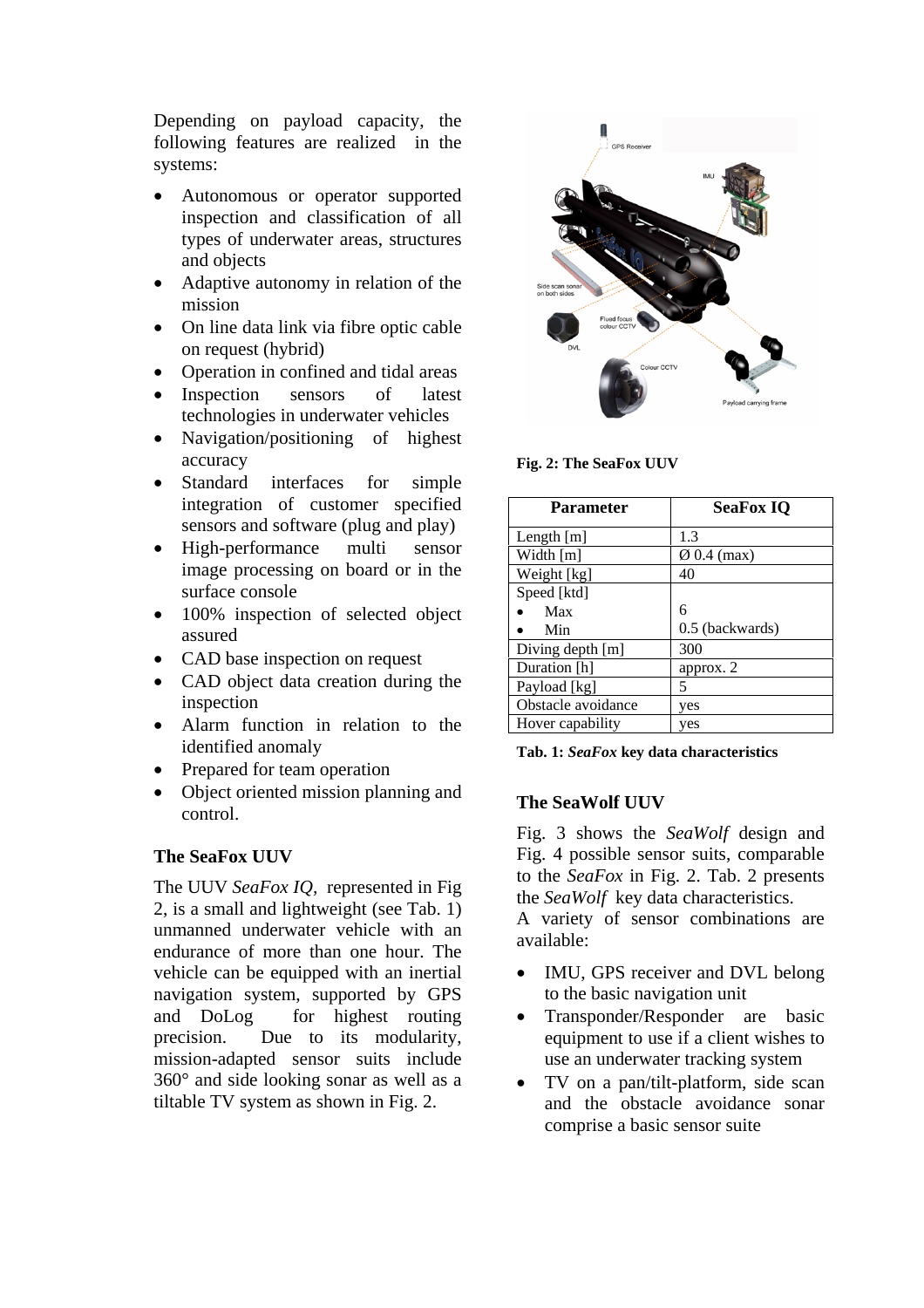Depending on payload capacity, the following features are realized in the systems:

- Autonomous or operator supported inspection and classification of all types of underwater areas, structures and objects
- Adaptive autonomy in relation of the mission
- On line data link via fibre optic cable on request (hybrid)
- Operation in confined and tidal areas
- Inspection sensors of latest technologies in underwater vehicles
- Navigation/positioning of highest accuracy
- Standard interfaces for simple integration of customer specified sensors and software (plug and play)
- High-performance multi sensor image processing on board or in the surface console
- 100% inspection of selected object assured
- CAD base inspection on request
- CAD object data creation during the inspection
- Alarm function in relation to the identified anomaly
- Prepared for team operation
- Object oriented mission planning and control.

# **The SeaFox UUV**

The UUV *SeaFox IQ,* represented in Fig 2, is a small and lightweight (see Tab. 1) unmanned underwater vehicle with an endurance of more than one hour. The vehicle can be equipped with an inertial navigation system, supported by GPS and DoLog for highest routing precision. Due to its modularity, mission-adapted sensor suits include 360° and side looking sonar as well as a tiltable TV system as shown in Fig. 2.



**Fig. 2: The SeaFox UUV** 

| <b>Parameter</b>   | <b>SeaFox IQ</b>        |  |  |
|--------------------|-------------------------|--|--|
| Length [m]         | 1.3                     |  |  |
| Width [m]          | $\varnothing$ 0.4 (max) |  |  |
| Weight [kg]        | 40                      |  |  |
| Speed [ktd]        |                         |  |  |
| Max                | 6                       |  |  |
| Min                | 0.5 (backwards)         |  |  |
| Diving depth [m]   | 300                     |  |  |
| Duration [h]       | approx. 2               |  |  |
| Payload [kg]       | 5                       |  |  |
| Obstacle avoidance | yes                     |  |  |
| Hover capability   | yes                     |  |  |

**Tab. 1:** *SeaFox* **key data characteristics** 

# **The SeaWolf UUV**

Fig. 3 shows the *SeaWolf* design and Fig. 4 possible sensor suits, comparable to the *SeaFox* in Fig. 2. Tab. 2 presents the *SeaWolf* key data characteristics.

A variety of sensor combinations are available:

- IMU, GPS receiver and DVL belong to the basic navigation unit
- Transponder/Responder are basic equipment to use if a client wishes to use an underwater tracking system
- TV on a pan/tilt-platform, side scan and the obstacle avoidance sonar comprise a basic sensor suite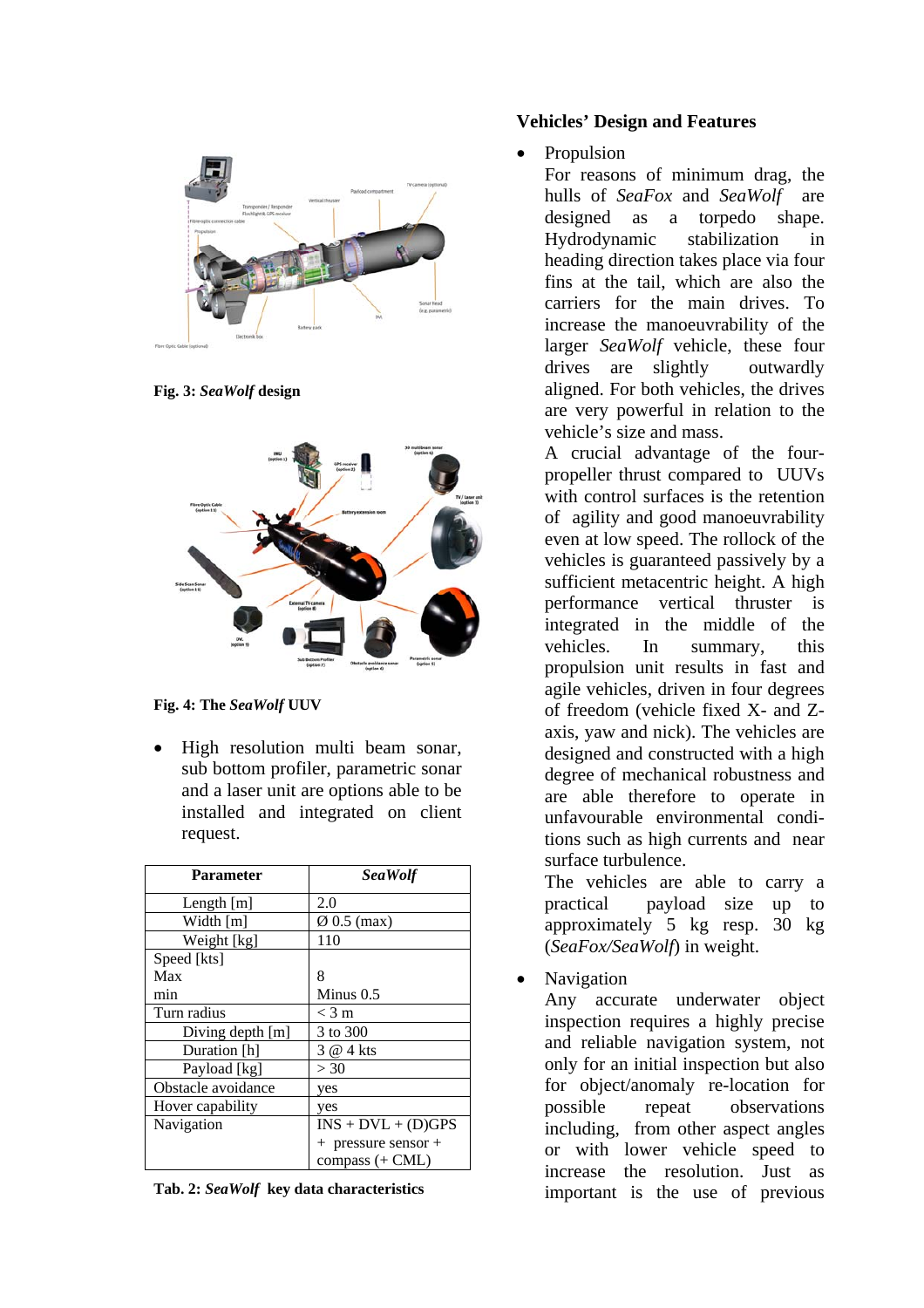

**Fig. 3:** *SeaWolf* **design** 



**Fig. 4: The** *SeaWolf* **UUV** 

• High resolution multi beam sonar, sub bottom profiler, parametric sonar and a laser unit are options able to be installed and integrated on client request.

| <b>Parameter</b>   | SeaWolf                 |  |  |
|--------------------|-------------------------|--|--|
| Length $[m]$       | 2.0                     |  |  |
| Width $[m]$        | $\varnothing$ 0.5 (max) |  |  |
| Weight [kg]        | 110                     |  |  |
| Speed [kts]        |                         |  |  |
| Max                | 8                       |  |  |
| min                | Minus $0.5$             |  |  |
| Turn radius        | $<$ 3 m                 |  |  |
| Diving depth $[m]$ | 3 to 300                |  |  |
| Duration [h]       | 3 @ 4 kts               |  |  |
| Payload [kg]       | >30                     |  |  |
| Obstacle avoidance | yes                     |  |  |
| Hover capability   | yes                     |  |  |
| Navigation         | $INS + DVL + (D)GPS$    |  |  |
|                    | + pressure sensor +     |  |  |
|                    | compass $(+$ CML)       |  |  |

**Tab. 2:** *SeaWolf* **key data characteristics** 

### **Vehicles' Design and Features**

• Propulsion

For reasons of minimum drag, the hulls of *SeaFox* and *SeaWolf* are designed as a torpedo shape. Hydrodynamic stabilization in heading direction takes place via four fins at the tail, which are also the carriers for the main drives. To increase the manoeuvrability of the larger *SeaWolf* vehicle, these four drives are slightly outwardly aligned. For both vehicles, the drives are very powerful in relation to the vehicle's size and mass.

A crucial advantage of the fourpropeller thrust compared to UUVs with control surfaces is the retention of agility and good manoeuvrability even at low speed. The rollock of the vehicles is guaranteed passively by a sufficient metacentric height. A high performance vertical thruster is integrated in the middle of the vehicles. In summary, this propulsion unit results in fast and agile vehicles, driven in four degrees of freedom (vehicle fixed X- and Zaxis, yaw and nick). The vehicles are designed and constructed with a high degree of mechanical robustness and are able therefore to operate in unfavourable environmental conditions such as high currents and near surface turbulence.

The vehicles are able to carry a practical payload size up to approximately 5 kg resp. 30 kg (*SeaFox/SeaWolf*) in weight.

• Navigation

Any accurate underwater object inspection requires a highly precise and reliable navigation system, not only for an initial inspection but also for object/anomaly re-location for possible repeat observations including, from other aspect angles or with lower vehicle speed to increase the resolution. Just as important is the use of previous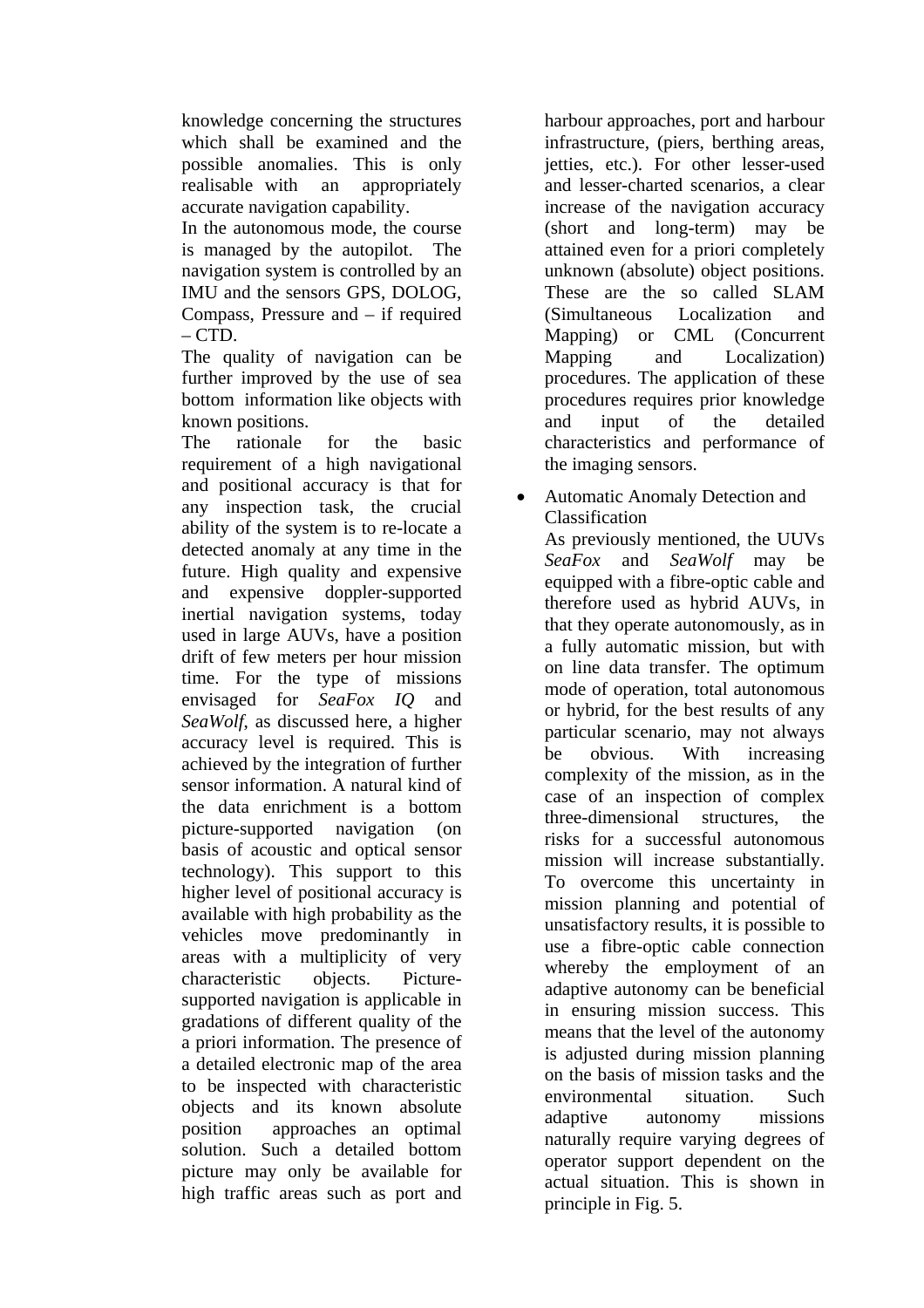knowledge concerning the structures which shall be examined and the possible anomalies. This is only realisable with an appropriately accurate navigation capability.

In the autonomous mode, the course is managed by the autopilot. The navigation system is controlled by an IMU and the sensors GPS, DOLOG, Compass, Pressure and – if required  $-$  CTD.

The quality of navigation can be further improved by the use of sea bottom information like objects with known positions.

The rationale for the basic requirement of a high navigational and positional accuracy is that for any inspection task, the crucial ability of the system is to re-locate a detected anomaly at any time in the future. High quality and expensive and expensive doppler-supported inertial navigation systems, today used in large AUVs, have a position drift of few meters per hour mission time. For the type of missions envisaged for *SeaFox IQ* and *SeaWolf*, as discussed here, a higher accuracy level is required. This is achieved by the integration of further sensor information. A natural kind of the data enrichment is a bottom picture-supported navigation (on basis of acoustic and optical sensor technology). This support to this higher level of positional accuracy is available with high probability as the vehicles move predominantly in areas with a multiplicity of very characteristic objects. Picturesupported navigation is applicable in gradations of different quality of the a priori information. The presence of a detailed electronic map of the area to be inspected with characteristic objects and its known absolute position approaches an optimal solution. Such a detailed bottom picture may only be available for high traffic areas such as port and

harbour approaches, port and harbour infrastructure, (piers, berthing areas, jetties, etc.). For other lesser-used and lesser-charted scenarios, a clear increase of the navigation accuracy (short and long-term) may be attained even for a priori completely unknown (absolute) object positions. These are the so called SLAM (Simultaneous Localization and Mapping) or CML (Concurrent Mapping and Localization) procedures. The application of these procedures requires prior knowledge and input of the detailed characteristics and performance of the imaging sensors.

• Automatic Anomaly Detection and Classification As previously mentioned, the UUVs

*SeaFox* and *SeaWolf* may be equipped with a fibre-optic cable and therefore used as hybrid AUVs, in that they operate autonomously, as in a fully automatic mission, but with on line data transfer. The optimum mode of operation, total autonomous or hybrid, for the best results of any particular scenario, may not always be obvious. With increasing complexity of the mission, as in the case of an inspection of complex three-dimensional structures, the risks for a successful autonomous mission will increase substantially. To overcome this uncertainty in mission planning and potential of unsatisfactory results, it is possible to use a fibre-optic cable connection whereby the employment of an adaptive autonomy can be beneficial in ensuring mission success. This means that the level of the autonomy is adjusted during mission planning on the basis of mission tasks and the environmental situation. Such adaptive autonomy missions naturally require varying degrees of operator support dependent on the actual situation. This is shown in principle in Fig. 5.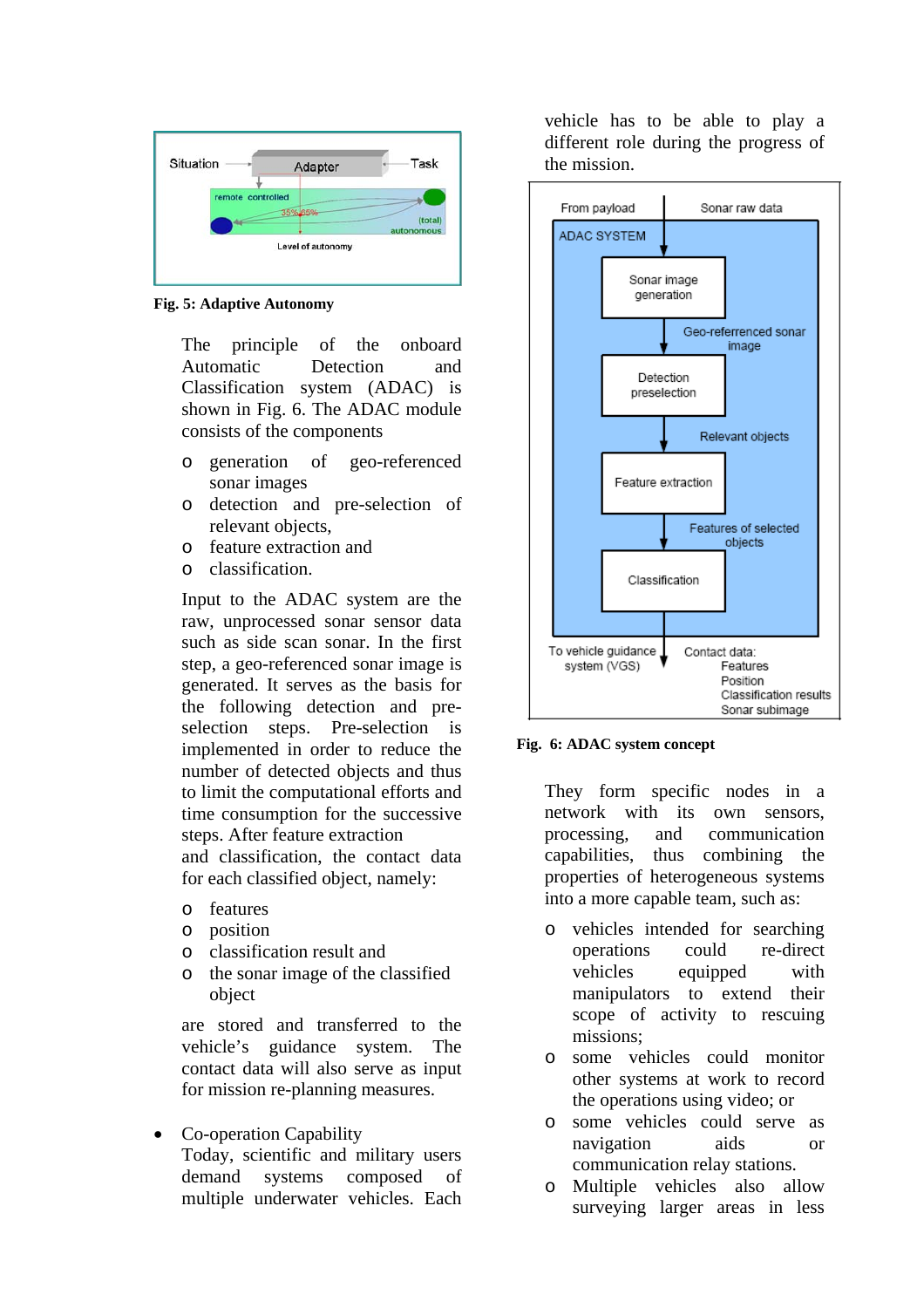

**Fig. 5: Adaptive Autonomy** 

The principle of the onboard Automatic Detection and Classification system (ADAC) is shown in Fig. 6. The ADAC module consists of the components

- o generation of geo-referenced sonar images
- o detection and pre-selection of relevant objects,
- o feature extraction and
- o classification.

Input to the ADAC system are the raw, unprocessed sonar sensor data such as side scan sonar. In the first step, a geo-referenced sonar image is generated. It serves as the basis for the following detection and preselection steps. Pre-selection is implemented in order to reduce the number of detected objects and thus to limit the computational efforts and time consumption for the successive steps. After feature extraction and classification, the contact data for each classified object, namely:

- o features
- o position
- o classification result and
- o the sonar image of the classified object

are stored and transferred to the vehicle's guidance system. The contact data will also serve as input for mission re-planning measures.

• Co-operation Capability Today, scientific and military users demand systems composed of multiple underwater vehicles. Each

vehicle has to be able to play a different role during the progress of the mission.



**Fig. 6: ADAC system concept** 

They form specific nodes in a network with its own sensors, processing, and communication capabilities, thus combining the properties of heterogeneous systems into a more capable team, such as:

- o vehicles intended for searching operations could re-direct vehicles equipped with manipulators to extend their scope of activity to rescuing missions;
- o some vehicles could monitor other systems at work to record the operations using video; or
- o some vehicles could serve as navigation aids or communication relay stations.
- o Multiple vehicles also allow surveying larger areas in less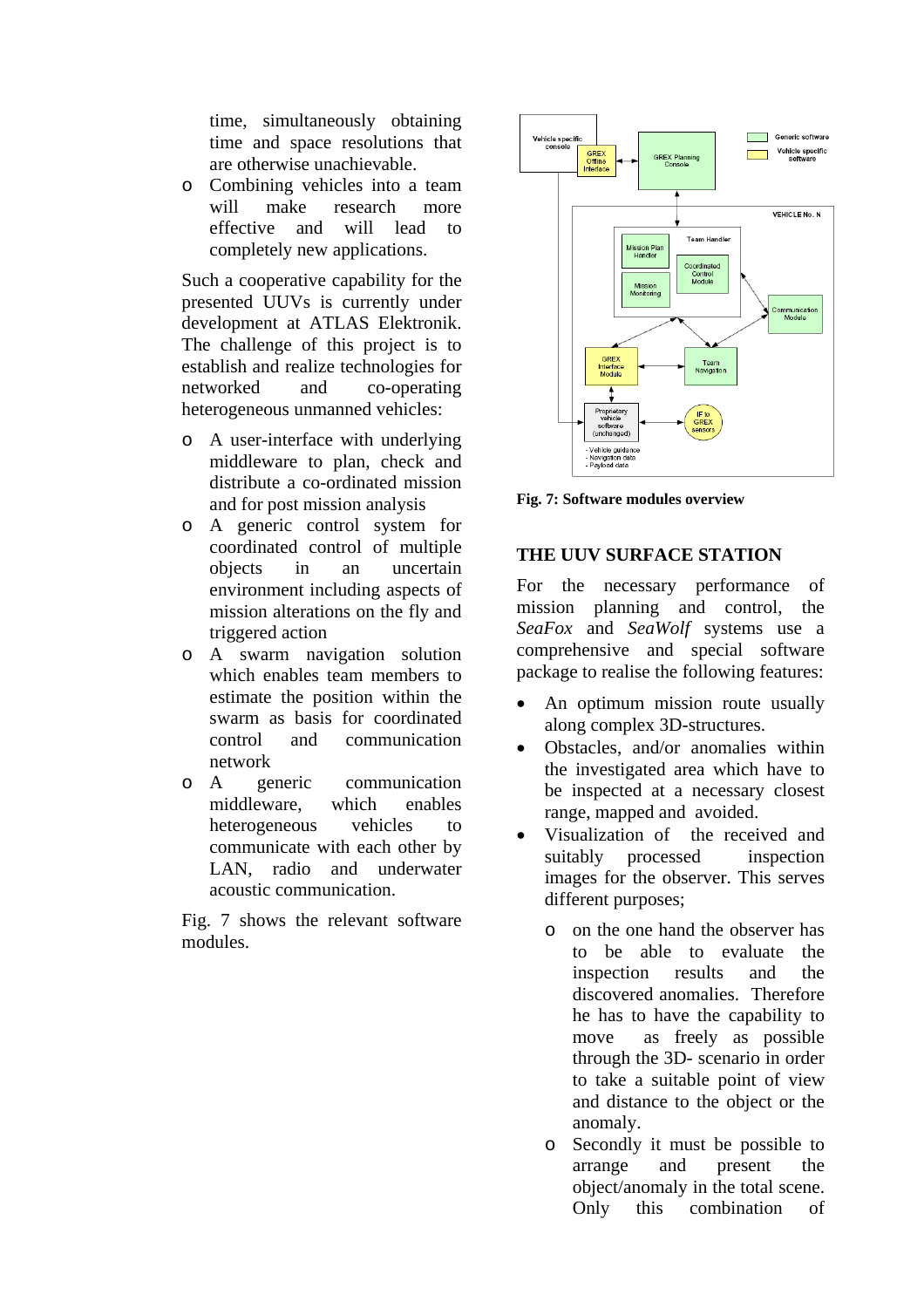time, simultaneously obtaining time and space resolutions that are otherwise unachievable.

o Combining vehicles into a team will make research more effective and will lead to completely new applications.

Such a cooperative capability for the presented UUVs is currently under development at ATLAS Elektronik. The challenge of this project is to establish and realize technologies for networked and co-operating heterogeneous unmanned vehicles:

- o A user-interface with underlying middleware to plan, check and distribute a co-ordinated mission and for post mission analysis
- o A generic control system for coordinated control of multiple objects in an uncertain environment including aspects of mission alterations on the fly and triggered action
- o A swarm navigation solution which enables team members to estimate the position within the swarm as basis for coordinated control and communication network
- o A generic communication middleware, which enables heterogeneous vehicles to communicate with each other by LAN, radio and underwater acoustic communication.

Fig. 7 shows the relevant software modules.



**Fig. 7: Software modules overview** 

# **THE UUV SURFACE STATION**

For the necessary performance of mission planning and control, the *SeaFox* and *SeaWolf* systems use a comprehensive and special software package to realise the following features:

- An optimum mission route usually along complex 3D-structures.
- Obstacles, and/or anomalies within the investigated area which have to be inspected at a necessary closest range, mapped and avoided.
- Visualization of the received and suitably processed inspection images for the observer. This serves different purposes;
	- o on the one hand the observer has to be able to evaluate the inspection results and the discovered anomalies. Therefore he has to have the capability to move as freely as possible through the 3D- scenario in order to take a suitable point of view and distance to the object or the anomaly.
	- o Secondly it must be possible to arrange and present the object/anomaly in the total scene. Only this combination of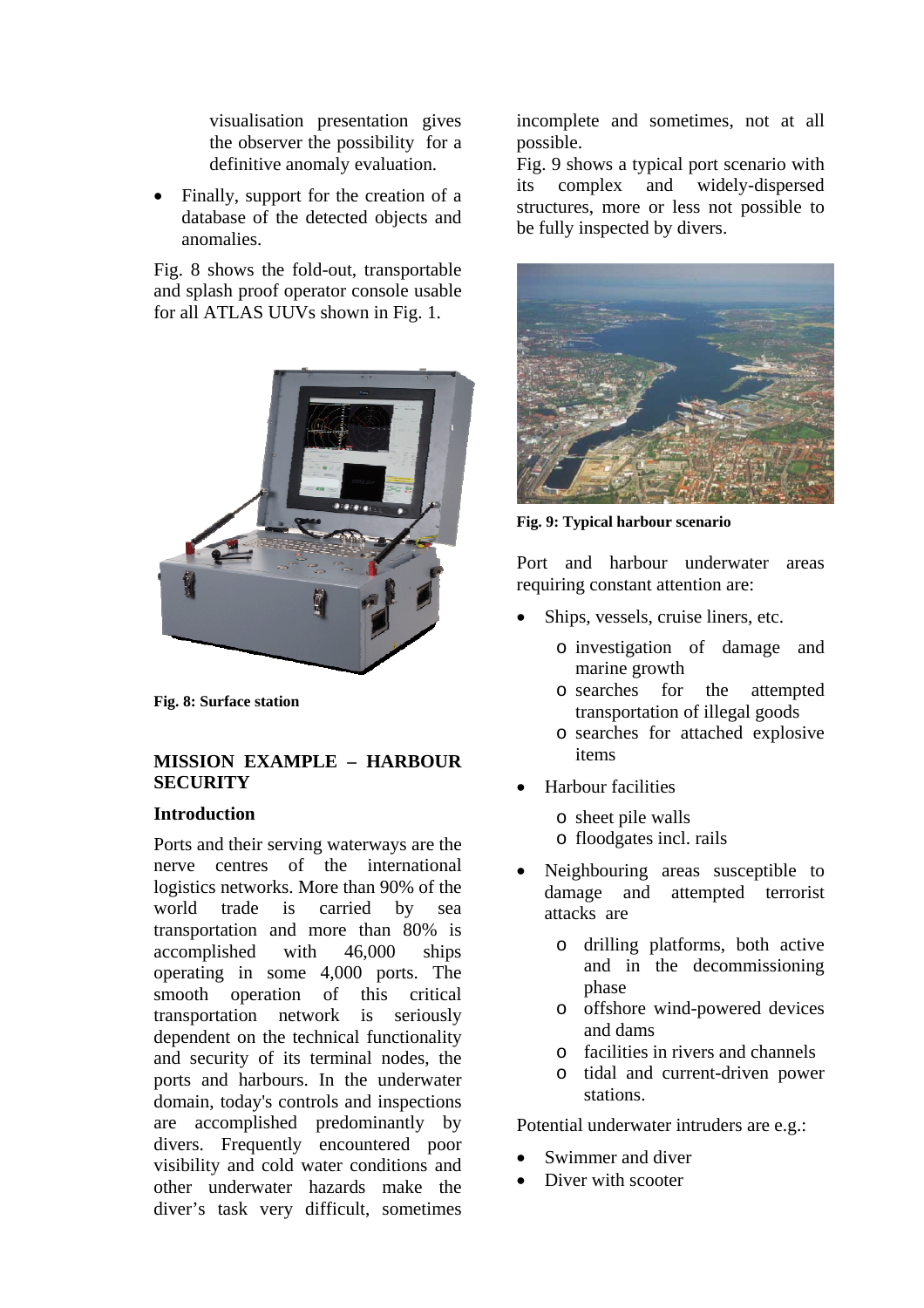visualisation presentation gives the observer the possibility for a definitive anomaly evaluation.

Finally, support for the creation of a database of the detected objects and anomalies.

Fig. 8 shows the fold-out, transportable and splash proof operator console usable for all ATLAS UUVs shown in Fig. 1.



**Fig. 8: Surface station** 

## **MISSION EXAMPLE – HARBOUR SECURITY**

## **Introduction**

Ports and their serving waterways are the nerve centres of the international logistics networks. More than 90% of the world trade is carried by sea transportation and more than 80% is accomplished with 46,000 ships operating in some 4,000 ports. The smooth operation of this critical transportation network is seriously dependent on the technical functionality and security of its terminal nodes, the ports and harbours. In the underwater domain, today's controls and inspections are accomplished predominantly by divers. Frequently encountered poor visibility and cold water conditions and other underwater hazards make the diver's task very difficult, sometimes

incomplete and sometimes, not at all possible.

Fig. 9 shows a typical port scenario with its complex and widely-dispersed structures, more or less not possible to be fully inspected by divers.



**Fig. 9: Typical harbour scenario** 

Port and harbour underwater areas requiring constant attention are:

- Ships, vessels, cruise liners, etc.
	- o investigation of damage and marine growth
	- o searches for the attempted transportation of illegal goods
	- o searches for attached explosive items
- Harbour facilities
	- o sheet pile walls
	- o floodgates incl. rails
- Neighbouring areas susceptible to damage and attempted terrorist attacks are
	- o drilling platforms, both active and in the decommissioning phase
	- o offshore wind-powered devices and dams
	- o facilities in rivers and channels
	- o tidal and current-driven power stations.

Potential underwater intruders are e.g.:

- Swimmer and diver
- Diver with scooter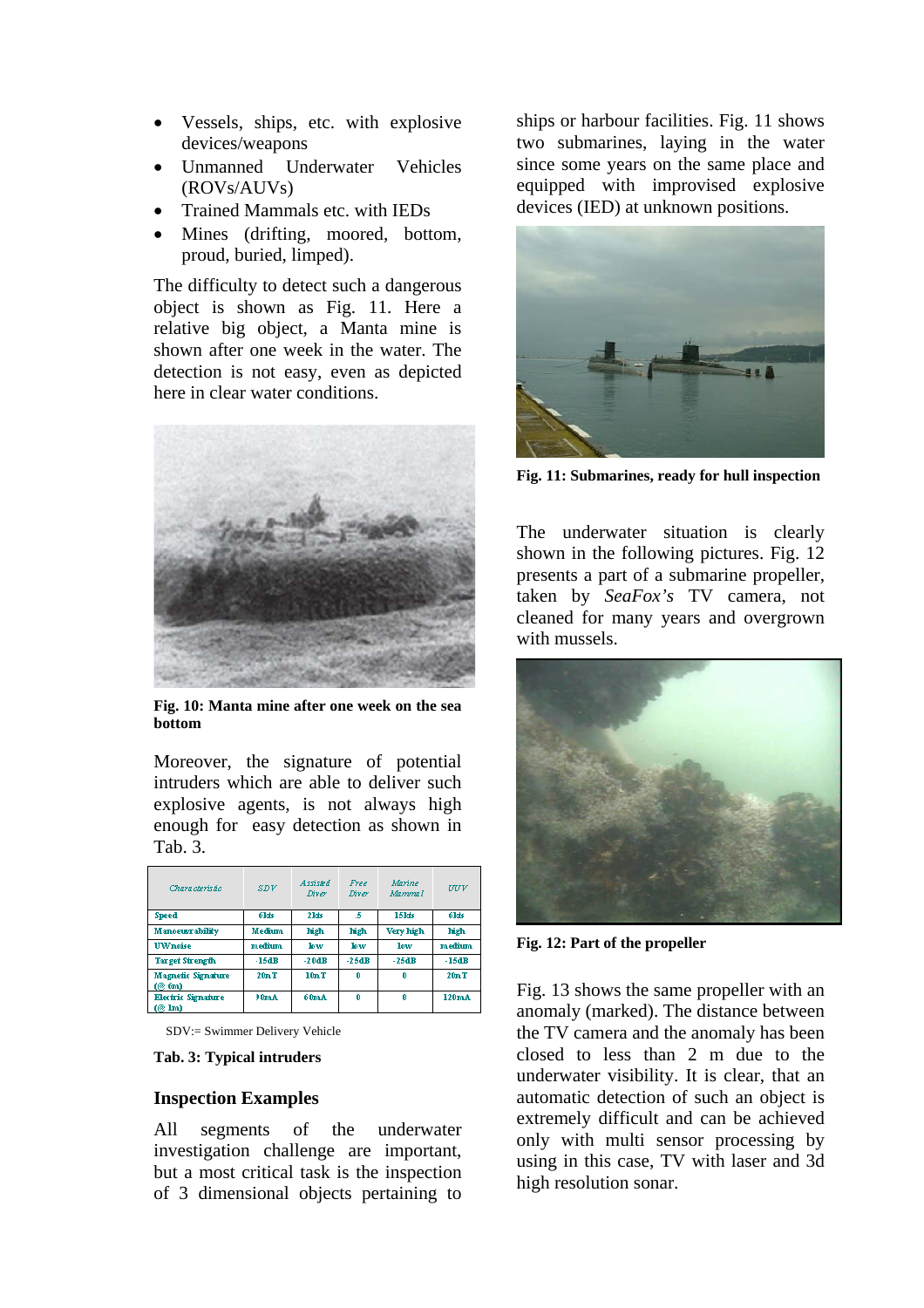- Vessels, ships, etc. with explosive devices/weapons
- Unmanned Underwater Vehicles (ROVs/AUVs)
- Trained Mammals etc. with IEDs
- Mines (drifting, moored, bottom, proud, buried, limped).

The difficulty to detect such a dangerous object is shown as Fig. 11. Here a relative big object, a Manta mine is shown after one week in the water. The detection is not easy, even as depicted here in clear water conditions.



**Fig. 10: Manta mine after one week on the sea bottom** 

Moreover, the signature of potential intruders which are able to deliver such explosive agents, is not always high enough for easy detection as shown in Tah 3

| Chara cteris ho                                     | SDV     | Assisted<br>Diver | Free<br>Diver | Marino<br>Mammal | wv      |
|-----------------------------------------------------|---------|-------------------|---------------|------------------|---------|
| <b>Speed</b>                                        | 6kts    | 21ds              | 5             | <b>15kts</b>     | 6kts    |
| <b>Manoeusrability</b>                              | Medium  | high              | high          | Very high        | high    |
| <b>UWnoise</b>                                      | medium. | low               | low           | low              | medium. |
| <b>Target Strength</b>                              | $-15dB$ | $-20dB$           | $-25dB$       | $-25dB$          | $-15dB$ |
| <b>Magnetic Signature</b><br>$($ $@$ $6m)$          | 20nT    | 10nT              | n             | n                | 20nT    |
| <b>Electric Signature</b><br>$($ $($ $\mathbf{lm})$ | 90mA    | 60mA              | 0             | 0                | 120mA   |

SDV:= Swimmer Delivery Vehicle

#### **Tab. 3: Typical intruders**

#### **Inspection Examples**

All segments of the underwater investigation challenge are important, but a most critical task is the inspection of 3 dimensional objects pertaining to ships or harbour facilities. Fig. 11 shows two submarines, laying in the water since some years on the same place and equipped with improvised explosive devices (IED) at unknown positions.



**Fig. 11: Submarines, ready for hull inspection** 

The underwater situation is clearly shown in the following pictures. Fig. 12 presents a part of a submarine propeller, taken by *SeaFox's* TV camera, not cleaned for many years and overgrown with mussels.



**Fig. 12: Part of the propeller** 

Fig. 13 shows the same propeller with an anomaly (marked). The distance between the TV camera and the anomaly has been closed to less than 2 m due to the underwater visibility. It is clear, that an automatic detection of such an object is extremely difficult and can be achieved only with multi sensor processing by using in this case, TV with laser and 3d high resolution sonar.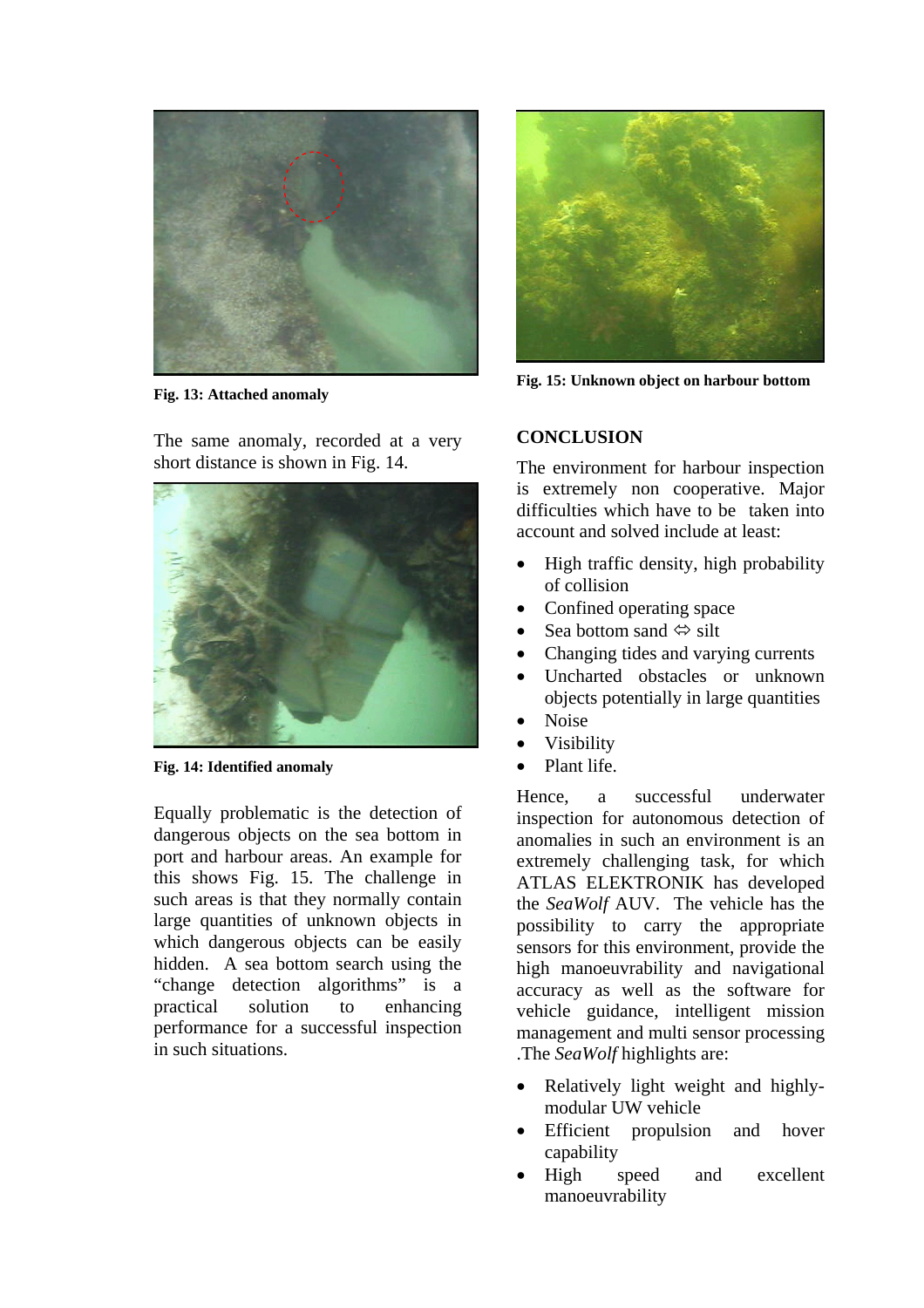

**Fig. 13: Attached anomaly** 

The same anomaly, recorded at a very short distance is shown in Fig. 14.



**Fig. 14: Identified anomaly** 

Equally problematic is the detection of dangerous objects on the sea bottom in port and harbour areas. An example for this shows Fig. 15. The challenge in such areas is that they normally contain large quantities of unknown objects in which dangerous objects can be easily hidden. A sea bottom search using the "change detection algorithms" is a practical solution to enhancing performance for a successful inspection in such situations.



**Fig. 15: Unknown object on harbour bottom** 

# **CONCLUSION**

The environment for harbour inspection is extremely non cooperative. Major difficulties which have to be taken into account and solved include at least:

- High traffic density, high probability of collision
- Confined operating space
- Sea bottom sand  $\Leftrightarrow$  silt
- Changing tides and varying currents
- Uncharted obstacles or unknown objects potentially in large quantities
- Noise
- **Visibility**
- Plant life.

Hence, a successful underwater inspection for autonomous detection of anomalies in such an environment is an extremely challenging task, for which ATLAS ELEKTRONIK has developed the *SeaWolf* AUV. The vehicle has the possibility to carry the appropriate sensors for this environment, provide the high manoeuvrability and navigational accuracy as well as the software for vehicle guidance, intelligent mission management and multi sensor processing .The *SeaWolf* highlights are:

- Relatively light weight and highlymodular UW vehicle
- Efficient propulsion and hover capability
- High speed and excellent manoeuvrability